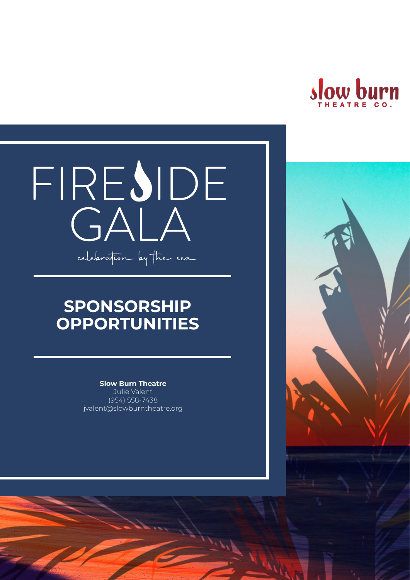

# FIRESIDE celebration by the sea

## **SPONSORSHIP OPPORTUNITIES**

**Slow Burn Theatre**  Julie Valent

(954) 558-7438 jvalent@slowburntheatre.org

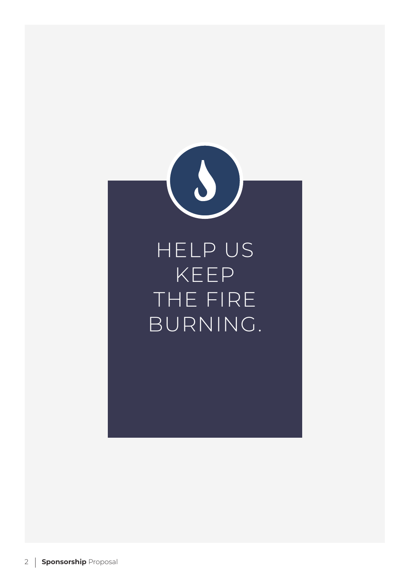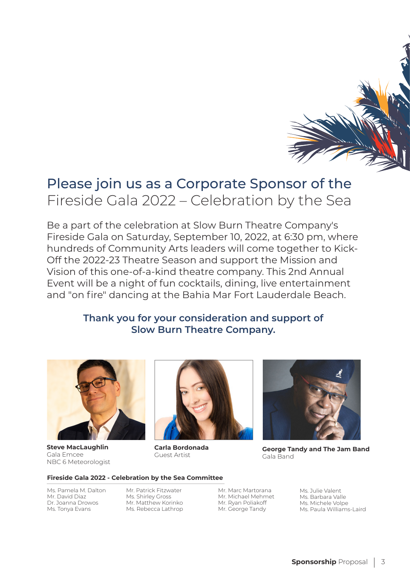

## Please join us as a Corporate Sponsor of the Fireside Gala 2022 – Celebration by the Sea

Be a part of the celebration at Slow Burn Theatre Company's Fireside Gala on Saturday, September 10, 2022, at 6:30 pm, where hundreds of Community Arts leaders will come together to Kick-Off the 2022-23 Theatre Season and support the Mission and Vision of this one-of-a-kind theatre company. This 2nd Annual Event will be a night of fun cocktails, dining, live entertainment and "on fire" dancing at the Bahia Mar Fort Lauderdale Beach.

#### **Thank you for your consideration and support of Slow Burn Theatre Company.**



**Steve MacLaughlin** Gala Emcee NBC 6 Meteorologist



**Carla Bordonada** Guest Artist



**George Tandy and The Jam Band** Gala Band

#### *George Tandy* **Fireside Gala 2022 - Celebration by the Sea Committee**

Ms. Pamela M. Dalton Mr. David Diaz Dr. Joanna Drowos Ms. Tonya Evans

Mr. Patrick Fitzwater Ms. Shirley Gross Mr. Matthew Korinko Ms. Rebecca Lathrop

unique blend of Pop, Dance Soul , R&B music and Jazz Mr. George Tandy Mr. Michael Mehmet

Mr. Marc Martorana Mr. Julie Valent Mr. Ryan Poliakoff Mr. Michele Volpe Mr. George Tandy Ms. Paula Williams-Laird Ms. Julie Valent Ms. Barbara Valle Ms. Michele Volpe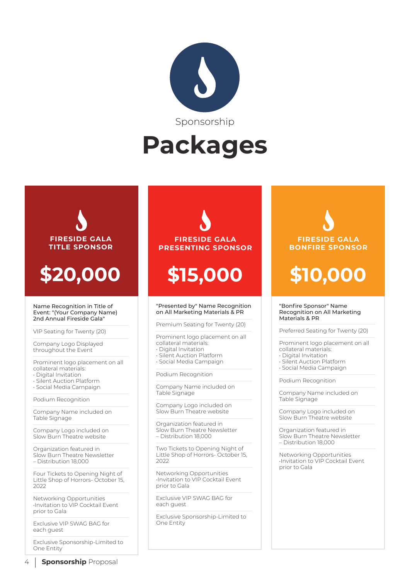

# **Packages**



Networking Opportunities •Invitation to VIP Cocktail Event prior to Gala

Exclusive VIP SWAG BAG for each guest

Exclusive Sponsorship-Limited to One Entity

#### **FIRESIDE GALA PRESENTING SPONSOR**

# **\$15,000**

#### "Presented by" Name Recognition on All Marketing Materials & PR

Premium Seating for Twenty (20)

Prominent logo placement on all collateral materials:

- Digital Invitation • Silent Auction Platform
- Social Media Campaign

Podium Recognition

Company Name included on Table Signage

Company Logo included on Slow Burn Theatre website

Organization featured in Slow Burn Theatre Newsletter – Distribution 18,000

Two Tickets to Opening Night of Little Shop of Horrors- October 15, 2022

Networking Opportunities •Invitation to VIP Cocktail Event prior to Gala

Exclusive VIP SWAG BAG for each guest

Exclusive Sponsorship-Limited to One Entity

## **FIRESIDE GALA BONFIRE SPONSOR**

# **\$10,000**

#### "Bonfire Sponsor" Name Recognition on All Marketing Materials & PR

Preferred Seating for Twenty (20)

Prominent logo placement on all collateral materials:

- Digital Invitation
- Silent Auction Platform
- Social Media Campaign

Podium Recognition

Company Name included on Table Signage

Company Logo included on Slow Burn Theatre website

Organization featured in Slow Burn Theatre Newsletter – Distribution 18,000

Networking Opportunities •Invitation to VIP Cocktail Event prior to Gala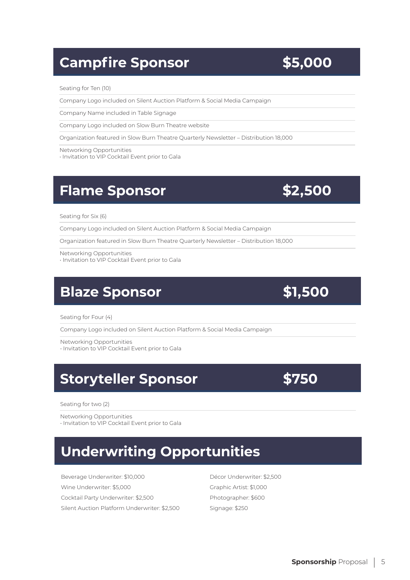## **Campfire Sponsor 55,000**

#### Seating for Ten (10)

Company Logo included on Silent Auction Platform & Social Media Campaign

Company Name included in Table Signage

Company Logo included on Slow Burn Theatre website

Organization featured in Slow Burn Theatre Quarterly Newsletter – Distribution 18,000

Networking Opportunities

• Invitation to VIP Cocktail Event prior to Gala

#### **Flame Sponsor \$2,500**

Seating for Six (6)

Company Logo included on Silent Auction Platform & Social Media Campaign

Organization featured in Slow Burn Theatre Quarterly Newsletter – Distribution 18,000

Networking Opportunities • Invitation to VIP Cocktail Event prior to Gala

## **Blaze Sponsor** \$1,500

Seating for Four (4)

Company Logo included on Silent Auction Platform & Social Media Campaign

Networking Opportunities

• Invitation to VIP Cocktail Event prior to Gala

## **Storyteller Sponsor 5750**

Seating for two (2)

Networking Opportunities

• Invitation to VIP Cocktail Event prior to Gala

## **Underwriting Opportunities**

Beverage Underwriter: \$10,000 Wine Underwriter: \$5,000 Cocktail Party Underwriter: \$2,500 Silent Auction Platform Underwriter: \$2,500

Décor Underwriter: \$2,500 Graphic Artist: \$1,000 Photographer: \$600 Signage: \$250

#### **Sponsorship** Proposal | 5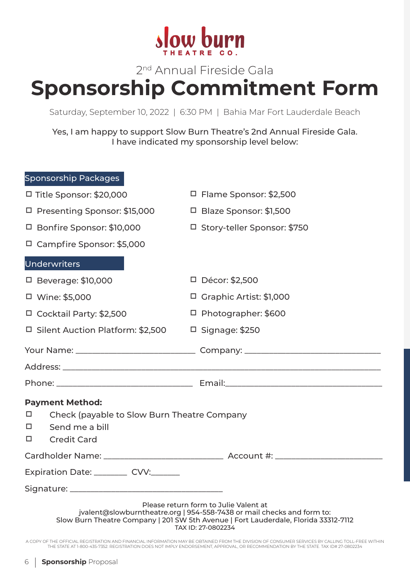

## 2<sup>nd</sup> Annual Fireside Gala **Sponsorship Commitment Form**

Saturday, September 10, 2022 | 6:30 PM | Bahia Mar Fort Lauderdale Beach

Yes, I am happy to support Slow Burn Theatre's 2nd Annual Fireside Gala. I have indicated my sponsorship level below:

| Sponsorship Packages                                                                                                                                                                                                         |                                                                                   |
|------------------------------------------------------------------------------------------------------------------------------------------------------------------------------------------------------------------------------|-----------------------------------------------------------------------------------|
| □ Title Sponsor: \$20,000                                                                                                                                                                                                    | $\Box$ Flame Sponsor: \$2,500                                                     |
| □ Presenting Sponsor: \$15,000                                                                                                                                                                                               | $\Box$ Blaze Sponsor: \$1,500                                                     |
| □ Bonfire Sponsor: \$10,000                                                                                                                                                                                                  | □ Story-teller Sponsor: \$750                                                     |
| $\Box$ Campfire Sponsor: \$5,000                                                                                                                                                                                             |                                                                                   |
| <b>Underwriters</b>                                                                                                                                                                                                          |                                                                                   |
| $\Box$ Beverage: \$10,000                                                                                                                                                                                                    | D Décor: \$2,500                                                                  |
| □ Wine: \$5,000                                                                                                                                                                                                              | □ Graphic Artist: \$1,000                                                         |
| □ Cocktail Party: \$2,500                                                                                                                                                                                                    | □ Photographer: \$600                                                             |
| □ Silent Auction Platform: \$2,500                                                                                                                                                                                           | $\Box$ Signage: \$250                                                             |
|                                                                                                                                                                                                                              |                                                                                   |
|                                                                                                                                                                                                                              |                                                                                   |
|                                                                                                                                                                                                                              |                                                                                   |
| <b>Payment Method:</b><br>□<br>Check (payable to Slow Burn Theatre Company<br>Send me a bill<br>□<br><b>Credit Card</b><br>□                                                                                                 |                                                                                   |
|                                                                                                                                                                                                                              | Cardholder Name: ___________________________________ Account #: _________________ |
| Expiration Date: __________ CVV:_______                                                                                                                                                                                      |                                                                                   |
|                                                                                                                                                                                                                              |                                                                                   |
| Please return form to Julie Valent at<br>jvalent@slowburntheatre.org   954-558-7438 or mail checks and form to:<br>Slow Burn Theatre Company   201 SW 5th Avenue   Fort Lauderdale, Florida 33312-7112<br>TAX ID: 27-0802234 |                                                                                   |

A COPY OF THE OFFICIAL REGISTRATION AND FINANCIAL INFORMATION MAY BE OBTAINED FROM THE DIVISION OF CONSUMER SERVICES BY CALLING TOLL-FREE WITHIN THE STATE AT 1-800-435-7352. REGISTRATION DOES NOT IMPLY ENDORSEMENT, APPROVAL, OR RECOMMENDATION BY THE STATE. TAX ID# 27-0802234